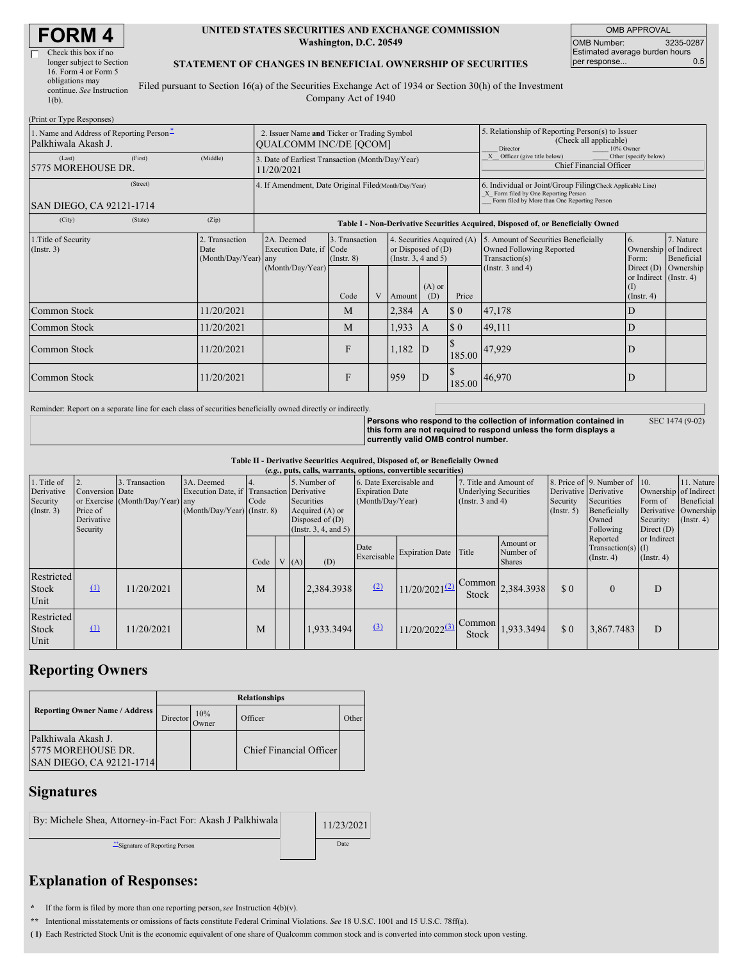# **FORM 4**

| Check this box if no      |  |
|---------------------------|--|
| longer subject to Section |  |
| 16. Form 4 or Form 5      |  |
| obligations may           |  |
| continue. See Instruction |  |
| $1(b)$ .                  |  |
|                           |  |

#### **UNITED STATES SECURITIES AND EXCHANGE COMMISSION Washington, D.C. 20549**

OMB APPROVAL OMB Number: 3235-0287 Estimated average burden hours<br>per response... 0.5 per response...

### **STATEMENT OF CHANGES IN BENEFICIAL OWNERSHIP OF SECURITIES**

Filed pursuant to Section 16(a) of the Securities Exchange Act of 1934 or Section 30(h) of the Investment Company Act of 1940

| (Print or Type Responses)                                       |                                                      |                                                                                  |                                           |   |                                                                                                         |     |                                                                                                     |                                                                                                                                                    |                                                                                                                  |                                      |  |
|-----------------------------------------------------------------|------------------------------------------------------|----------------------------------------------------------------------------------|-------------------------------------------|---|---------------------------------------------------------------------------------------------------------|-----|-----------------------------------------------------------------------------------------------------|----------------------------------------------------------------------------------------------------------------------------------------------------|------------------------------------------------------------------------------------------------------------------|--------------------------------------|--|
| 1. Name and Address of Reporting Person-<br>Palkhiwala Akash J. |                                                      | 2. Issuer Name and Ticker or Trading Symbol<br><b>QUALCOMM INC/DE [OCOM]</b>     |                                           |   |                                                                                                         |     | 5. Relationship of Reporting Person(s) to Issuer<br>(Check all applicable)<br>10% Owner<br>Director |                                                                                                                                                    |                                                                                                                  |                                      |  |
| (First)<br>(Last)<br>5775 MOREHOUSE DR.                         | (Middle)                                             | 3. Date of Earliest Transaction (Month/Day/Year)<br>11/20/2021                   |                                           |   |                                                                                                         |     |                                                                                                     | X Officer (give title below)<br>Other (specify below)<br>Chief Financial Officer                                                                   |                                                                                                                  |                                      |  |
| (Street)<br>SAN DIEGO, CA 92121-1714                            | 4. If Amendment, Date Original Filed Month/Day/Year) |                                                                                  |                                           |   |                                                                                                         |     |                                                                                                     | 6. Individual or Joint/Group Filing Check Applicable Line)<br>X Form filed by One Reporting Person<br>Form filed by More than One Reporting Person |                                                                                                                  |                                      |  |
| (City)<br>(State)                                               | (Zip)                                                | Table I - Non-Derivative Securities Acquired, Disposed of, or Beneficially Owned |                                           |   |                                                                                                         |     |                                                                                                     |                                                                                                                                                    |                                                                                                                  |                                      |  |
| 1. Title of Security<br>$($ Instr. 3 $)$                        | 2. Transaction<br>Date<br>(Month/Day/Year) any       | 2A. Deemed<br>Execution Date, if Code<br>(Month/Day/Year)                        | 3. Transaction<br>$($ Instr. $8)$<br>Code | V | 4. Securities Acquired (A)<br>or Disposed of $(D)$<br>(Insert. 3, 4 and 5)<br>$(A)$ or<br>(D)<br>Amount |     | Price                                                                                               | 5. Amount of Securities Beneficially<br>Owned Following Reported<br>Transaction(s)<br>(Instr. $3$ and $4$ )                                        | <b>6.</b><br>Ownership of Indirect<br>Form:<br>Direct $(D)$<br>or Indirect (Instr. 4)<br>(I)<br>$($ Instr. 4 $)$ | 7. Nature<br>Beneficial<br>Ownership |  |
| Common Stock                                                    | 11/20/2021                                           |                                                                                  | M                                         |   | 2,384                                                                                                   | IA. | $\Omega$                                                                                            | 47,178                                                                                                                                             | D                                                                                                                |                                      |  |
| Common Stock                                                    | 11/20/2021                                           |                                                                                  | M                                         |   | 1,933                                                                                                   | IA. | $\Omega$                                                                                            | 49,111                                                                                                                                             | D                                                                                                                |                                      |  |
| Common Stock                                                    | 11/20/2021                                           |                                                                                  | F                                         |   | 1,182                                                                                                   | ID  | <b>S</b><br>185.00                                                                                  | 47,929                                                                                                                                             | D                                                                                                                |                                      |  |
| Common Stock                                                    | 11/20/2021                                           |                                                                                  | F                                         |   | 959                                                                                                     | ID  |                                                                                                     | 185.00 46,970                                                                                                                                      | ID                                                                                                               |                                      |  |

Reminder: Report on a separate line for each class of securities beneficially owned directly or indirectly.

**Persons who respond to the collection of information contained in this form are not required to respond unless the form displays a currently valid OMB control number.**

SEC 1474 (9-02)

**Table II - Derivative Securities Acquired, Disposed of, or Beneficially Owned**

| (e.g., puts, calls, warrants, options, convertible securities) |                                                       |                                                   |                                                                                          |                          |  |      |                                                                                             |                                                                       |                             |                                                                                 |                                         |                                                       |                                                                                  |                                                                                                                                       |  |
|----------------------------------------------------------------|-------------------------------------------------------|---------------------------------------------------|------------------------------------------------------------------------------------------|--------------------------|--|------|---------------------------------------------------------------------------------------------|-----------------------------------------------------------------------|-----------------------------|---------------------------------------------------------------------------------|-----------------------------------------|-------------------------------------------------------|----------------------------------------------------------------------------------|---------------------------------------------------------------------------------------------------------------------------------------|--|
| 1. Title of<br>Derivative<br>Security<br>$($ Instr. 3 $)$      | Conversion Date<br>Price of<br>Derivative<br>Security | . Transaction<br>or Exercise (Month/Day/Year) any | 3A. Deemed<br>Execution Date, if Transaction Derivative<br>$(Month/Day/Year)$ (Instr. 8) | $\overline{4}$ .<br>Code |  |      | 5. Number of<br>Securities<br>Acquired (A) or<br>Disposed of $(D)$<br>(Insert. 3, 4, and 5) | 6. Date Exercisable and<br><b>Expiration Date</b><br>(Month/Day/Year) |                             | 7. Title and Amount of<br><b>Underlying Securities</b><br>(Instr. $3$ and $4$ ) |                                         | Derivative Derivative<br>Security<br>$($ Instr. 5 $)$ | 8. Price of 9. Number of 10.<br>Securities<br>Beneficially<br>Owned<br>Following | 11. Nature<br>Ownership of Indirect<br>Beneficial<br>Form of<br>Derivative Ownership<br>Security:<br>$($ Instr. 4 $)$<br>Direct $(D)$ |  |
|                                                                |                                                       |                                                   |                                                                                          | Code                     |  | V(A) | (D)                                                                                         | Date<br>Exercisable                                                   | <b>Expiration Date</b>      | Title                                                                           | Amount or<br>Number of<br><b>Shares</b> |                                                       | Reported<br>$Transaction(s)$ (I)<br>$($ Instr. 4)                                | or Indirect<br>$($ Instr. 4 $)$                                                                                                       |  |
| Restricted<br>Stock<br>Unit                                    | $\Omega$                                              | 11/20/2021                                        |                                                                                          | М                        |  |      | 2.384.3938                                                                                  | (2)                                                                   | $1/20/2021^{(2)}$           | Stock                                                                           | $\triangle$ Common 2,384.3938           | \$0                                                   | $\theta$                                                                         | D                                                                                                                                     |  |
| Restricted<br>Stock<br>Unit                                    | $\Omega$                                              | 11/20/2021                                        |                                                                                          | M                        |  |      | 1,933.3494                                                                                  | (3)                                                                   | $11/20/2022$ <sup>(3)</sup> | Common<br>Stock                                                                 | 1,933.3494                              | \$0                                                   | 3,867.7483                                                                       | D                                                                                                                                     |  |

## **Reporting Owners**

|                                                                       | <b>Relationships</b> |              |                         |              |  |  |  |  |  |
|-----------------------------------------------------------------------|----------------------|--------------|-------------------------|--------------|--|--|--|--|--|
| <b>Reporting Owner Name / Address</b>                                 | Director             | 10%<br>Owner | Officer                 | <b>Other</b> |  |  |  |  |  |
| Palkhiwala Akash J.<br>5775 MOREHOUSE DR.<br>SAN DIEGO, CA 92121-1714 |                      |              | Chief Financial Officer |              |  |  |  |  |  |

## **Signatures**

By: Michele Shea, Attorney-in-Fact For: Akash J Palkhiwala 11/23/2021 \*\*Signature of Reporting Person Date

## **Explanation of Responses:**

**\*** If the form is filed by more than one reporting person,*see* Instruction 4(b)(v).

**\*\*** Intentional misstatements or omissions of facts constitute Federal Criminal Violations. *See* 18 U.S.C. 1001 and 15 U.S.C. 78ff(a).

**( 1)** Each Restricted Stock Unit is the economic equivalent of one share of Qualcomm common stock and is converted into common stock upon vesting.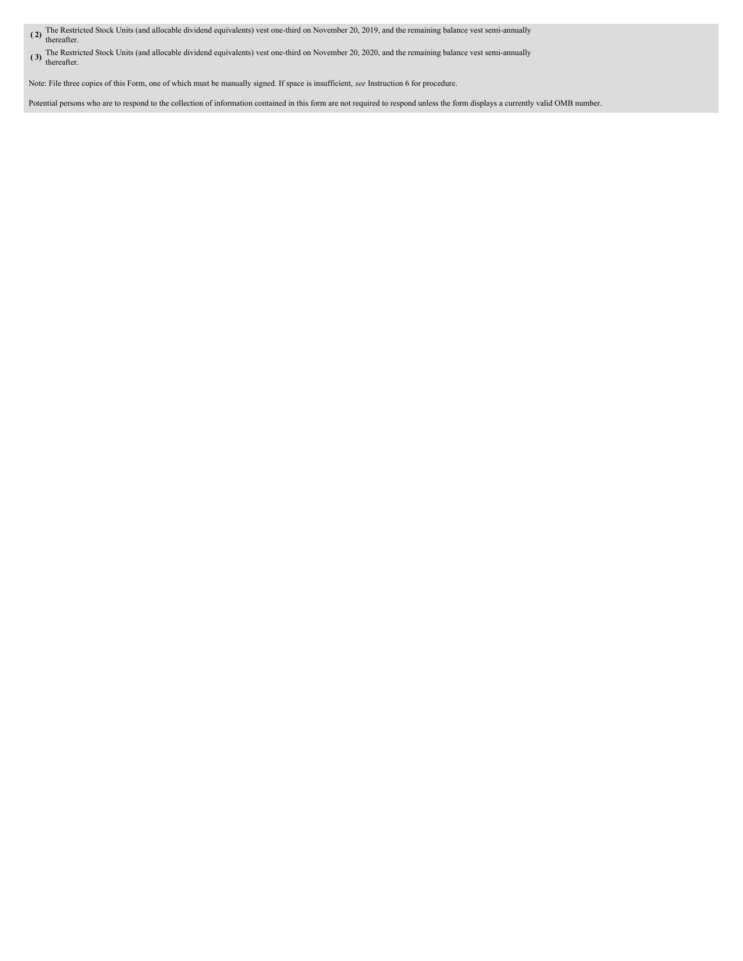- **( 2)** The Restricted Stock Units (and allocable dividend equivalents) vest one-third on November 20, 2019, and the remaining balance vest semi-annually thereafter.
- **( 3)** The Restricted Stock Units (and allocable dividend equivalents) vest one-third on November 20, 2020, and the remaining balance vest semi-annually thereafter.

Note: File three copies of this Form, one of which must be manually signed. If space is insufficient, *see* Instruction 6 for procedure.

Potential persons who are to respond to the collection of information contained in this form are not required to respond unless the form displays a currently valid OMB number.